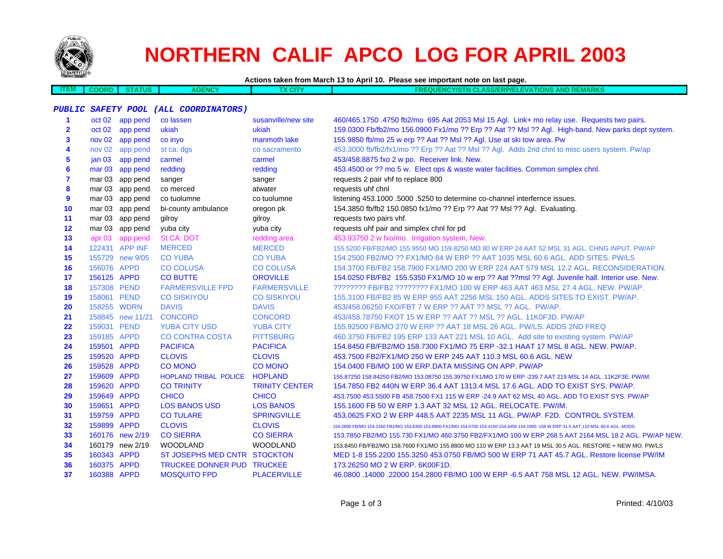

**ITEM**

# **NORTHERN CALIF APCO LOG FOR APRIL 2003**

**Actions taken from March 13 to April 10. Please see important note on last page.**

| w. | <b>COORD</b> | <b>TATUS</b> | <b>AGENCY</b> | Y CITY | FREQUE | <b>'NCY/STN CLASS/ERP/ELEVATIONS AND REMARKS</b> |  |
|----|--------------|--------------|---------------|--------|--------|--------------------------------------------------|--|
|    |              |              |               |        |        |                                                  |  |

#### **PUBLIC SAFETY POOL (ALL COORDINATORS)**

| 1            |             | oct 02 app pend  | co lassen                    | susanville/new site   | 460/465.1750 .4750 fb2/mo 695 Aat 2053 Msl 15 Agl. Link+ mo relay use. Requests two pairs.                                             |
|--------------|-------------|------------------|------------------------------|-----------------------|----------------------------------------------------------------------------------------------------------------------------------------|
| $\mathbf{2}$ |             | oct 02 app pend  | ukiah                        | ukiah                 | 159.0300 Fb/fb2/mo 156.0900 Fx1/mo ?? Erp ?? Aat ?? Msl ?? Agl. High-band. New parks dept system.                                      |
| 3            |             | nov 02 app pend  | co invo                      | manmoth lake          | 155.9850 fb/mo 25 w erp ?? Aat ?? Msl ?? Agl. Use at ski tow area. Pw                                                                  |
| 4            |             | nov 02 app pend  | st ca: dgs                   | co sacramento         | 453.3000 fb/fb2/fx1/mo ?? Erp ?? Aat ?? Msl ?? Agl. Adds 2nd chnl to misc users system. Pw/ap                                          |
| 5            | jan 03      | app pend         | carmel                       | carmel                | 453/458.8875 fxo 2 w po. Receiver link. New.                                                                                           |
| 6            |             | mar 03 app pend  | redding                      | redding               | 453.4500 or ?? mo 5 w. Elect ops & waste water facilities. Common simplex chnl.                                                        |
| 7            |             | mar 03 app pend  | sanger                       | sanger                | requests 2 pair vhf to replace 800                                                                                                     |
| 8            |             | mar 03 app pend  | co merced                    | atwater               | requests uhf chnl                                                                                                                      |
| 9            |             | mar 03 app pend  | co tuolumne                  | co tuolumne           | listening 453.1000 .5000 .5250 to determine co-channel interfernce issues.                                                             |
| 10           |             | mar 03 app pend  | bi-county ambulance          | oregon pk             | 154.3850 fb/fb2 150.0850 fx1/mo ?? Erp ?? Aat ?? Msl ?? Agl. Evaluating.                                                               |
| 11           |             | mar 03 app pend  | gilroy                       | gilroy                | requests two pairs vhf.                                                                                                                |
| 12           |             | mar 03 app pend  | yuba city                    | yuba city             | requests uhf pair and simplex chnl for pd                                                                                              |
| 13           |             | apr 03 app pend  | <b>St CA: DOT</b>            | redding area          | 453.93750 2 w fxo/mo. Irrigation system. New.                                                                                          |
| 14           |             | 122431 APP INF   | <b>MERCED</b>                | <b>MERCED</b>         | 155.5200 FB/FB2/MO 155.9550 MO 159.8250 MO 80 W ERP 24 AAT 52 MSL 31 AGL. CHNG INPUT. PW/AP                                            |
| 15           |             | 155729 new 9/05  | <b>CO YUBA</b>               | <b>CO YUBA</b>        | 154,2500 FB2/MO ?? FX1/MO 84 W ERP ?? AAT 1035 MSL 60.6 AGL, ADD SITES, PW/LS                                                          |
| 16           | 156076 APPD |                  | <b>CO COLUSA</b>             | <b>CO COLUSA</b>      | 154,3700 FB/FB2 158,7900 FX1/MO 200 W ERP 224 AAT 579 MSL 12.2 AGL, RECONSIDERATION.                                                   |
| 17           | 156125 APPD |                  | <b>CO BUTTE</b>              | <b>OROVILLE</b>       | 154.0250 FB/FB2 155.5350 FX1/MO 10 w erp ?? Aat ??msl ?? Agl. Juvenile hall. Interior use. New.                                        |
| 18           | 157308 PEND |                  | <b>FARMERSVILLE FPD</b>      | <b>FARMERSVILLE</b>   | ???????? FB/FB2 ??????? FX1/MO 100 W ERP 463 AAT 463 MSL 27.4 AGL. NEW. PW/AP.                                                         |
| 19           | 158061 PEND |                  | <b>CO SISKIYOU</b>           | <b>CO SISKIYOU</b>    | 155,3100 FB/FB2 85 W ERP 955 AAT 2256 MSL 150 AGL, ADDS SITES TO EXIST, PW/AP.                                                         |
| 20           | 158255 WDRN |                  | <b>DAVIS</b>                 | <b>DAVIS</b>          | 453/458.06250 FXO/FBT 7 W ERP ?? AAT ?? MSL ?? AGL. PW/AP.                                                                             |
| 21           |             | 158845 new 11/21 | <b>CONCORD</b>               | <b>CONCORD</b>        | 453/458.78750 FXOT 15 W ERP ?? AAT ?? MSL ?? AGL, 11K0F3D, PW/AP                                                                       |
| 22           | 159031 PEND |                  | <b>YUBA CITY USD</b>         | <b>YUBA CITY</b>      | 155,92500 FB/MO 270 W ERP ?? AAT 18 MSL 26 AGL, PW/LS, ADDS 2ND FREQ                                                                   |
| 23           | 159185 APPD |                  | <b>CO CONTRA COSTA</b>       | <b>PITTSBURG</b>      | 460.3750 FB/FB2 195 ERP 133 AAT 221 MSL 10 AGL. Add site to existing system. PW/AP                                                     |
| 24           | 159501 APPD |                  | <b>PACIFICA</b>              | <b>PACIFICA</b>       | 154.8450 FB/FB2/MO 158.7300 FX1/MO 75 ERP -32.1 HAAT 17 MSL 8 AGL. NEW. PW/AP.                                                         |
| 25           | 159520 APPD |                  | <b>CLOVIS</b>                | <b>CLOVIS</b>         | 453.7500 FB2/FX1/MO 250 W ERP 245 AAT 110.3 MSL 60.6 AGL. NEW                                                                          |
| 26           | 159528 APPD |                  | <b>CO MONO</b>               | <b>CO MONO</b>        | 154,0400 FB/MO 100 W ERP.DATA MISSING ON APP. PW/AP                                                                                    |
| 27           | 159609 APPD |                  | <b>HOPLAND TRIBAL POLICE</b> | <b>HOPLAND</b>        | 155.87250 158.84250 FB2/MO 153.08750 155.39750 FX1/MO 170 W ERP -239.7 AAT 219 MSL 14 AGL. 11K2F3E. PW/IM.                             |
| 28           | 159620 APPD |                  | <b>CO TRINITY</b>            | <b>TRINITY CENTER</b> | 154.7850 FB2 440N W ERP 36.4 AAT 1313.4 MSL 17.6 AGL. ADD TO EXIST SYS. PW/AP.                                                         |
| 29           | 159649 APPD |                  | <b>CHICO</b>                 | <b>CHICO</b>          | 453.7500 453.5500 FB 458.7500 FX1 115 W ERP -24.9 AAT 62 MSL 40 AGL. ADD TO EXIST SYS. PW/AP                                           |
| 30           | 159651 APPD |                  | <b>LOS BANOS USD</b>         | <b>LOS BANOS</b>      | 155.1600 FB 50 W ERP 1.3 AAT 32 MSL 12 AGL. RELOCATE. PW/IM.                                                                           |
| 31           | 159759 APPD |                  | <b>CO TULARE</b>             | <b>SPRINGVILLE</b>    | 453.0625 FXO 2 W ERP 448.5 AAT 2235 MSL 11 AGL, PW/AP, F2D, CONTROL SYSTEM.                                                            |
| 32           | 159899 APPD |                  | <b>CLOVIS</b>                | <b>CLOVIS</b>         | 154.2800 FB/MO 154.2350 FB2/MO 153.8300 153.8900 FX1/MO 154.0700 154.4150 154.4450 154.1900 158 W ERP 31.5 AAT 110 MSL 60.6 AGL. MODS. |
| 33           |             | 160176 new 2/19  | <b>CO SIERRA</b>             | <b>CO SIERRA</b>      | 153.7850 FB2/MO 155.730 FX1/MO 460.3750 FB2/FX1/MO 100 W ERP 268.5 AAT 2164 MSL 18.2 AGL. PW/AP NEW.                                   |
| 34           |             | 160179 new 2/19  | <b>WOODLAND</b>              | <b>WOODLAND</b>       | 153.8450 FB/FB2/MO 158.7600 FX1/MO 155.8800 MO 110 W ERP 13.3 AAT 19 MSL 30.5 AGL. RESTORE + NEW MO. PW/LS                             |
| 35           | 160343 APPD |                  | ST JOSEPHS MED CNTR STOCKTON |                       | MED 1-8 155.2200 155.3250 453.0750 FB/MO 500 W ERP 71 AAT 45.7 AGL. Restore license PW/IM                                              |
| 36           | 160375 APPD |                  | TRUCKEE DONNER PUD TRUCKEE   |                       | 173.26250 MO 2 W ERP. 6K00F1D.                                                                                                         |
| 37           | 160388 APPD |                  | <b>MOSQUITO FPD</b>          | <b>PLACERVILLE</b>    | 46.0800 .14000 .22000 154.2800 FB/MO 100 W ERP -6.5 AAT 758 MSL 12 AGL. NEW. PW/IMSA.                                                  |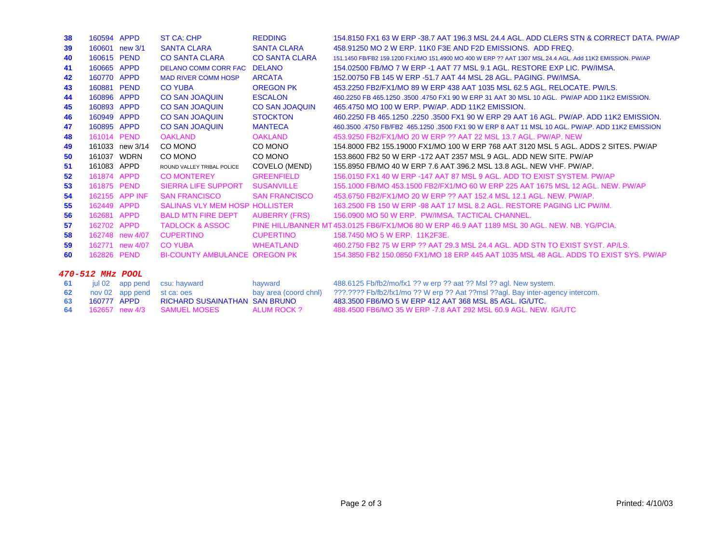| 38               | 160594 APPD    |                 | ST CA: CHP                            | <b>REDDING</b>        | 154.8150 FX1 63 W ERP -38.7 AAT 196.3 MSL 24.4 AGL, ADD CLERS STN & CORRECT DATA, PW/AP                  |  |  |
|------------------|----------------|-----------------|---------------------------------------|-----------------------|----------------------------------------------------------------------------------------------------------|--|--|
| 39               | 160601 new 3/1 |                 | <b>SANTA CLARA</b>                    | <b>SANTA CLARA</b>    | 458,91250 MO 2 W ERP, 11K0 F3E AND F2D EMISSIONS. ADD FREQ.                                              |  |  |
| 40               | 160615 PEND    |                 | <b>CO SANTA CLARA</b>                 | <b>CO SANTA CLARA</b> | 151.1450 FB/FB2 159.1200 FX1/MO 151.4900 MO 400 W ERP ?? AAT 1307 MSL 24.4 AGL. Add 11K2 EMISSION, PW/AP |  |  |
| 41               | 160665 APPD    |                 | <b>DELANO COMM CORR FAC</b>           | <b>DELANO</b>         | 154,02500 FB/MO 7 W ERP -1 AAT 77 MSL 9.1 AGL, RESTORE EXP LIC, PW/IMSA.                                 |  |  |
| 42               | 160770 APPD    |                 | <b>MAD RIVER COMM HOSP</b>            | <b>ARCATA</b>         | 152,00750 FB 145 W ERP -51.7 AAT 44 MSL 28 AGL, PAGING, PW/IMSA.                                         |  |  |
| 43               | 160881 PEND    |                 | <b>CO YUBA</b>                        | <b>OREGON PK</b>      | 453.2250 FB2/FX1/MO 89 W ERP 438 AAT 1035 MSL 62.5 AGL. RELOCATE, PW/LS.                                 |  |  |
| 44               | 160896 APPD    |                 | <b>CO SAN JOAQUIN</b>                 | <b>ESCALON</b>        | 460.2250 FB 465.1250 .3500 .4750 FX1 90 W ERP 31 AAT 30 MSL 10 AGL. PW/AP ADD 11K2 EMISSION.             |  |  |
| 45               | 160893 APPD    |                 | <b>CO SAN JOAQUIN</b>                 | <b>CO SAN JOAQUIN</b> | 465,4750 MO 100 W ERP. PW/AP. ADD 11K2 EMISSION.                                                         |  |  |
| 46               | 160949 APPD    |                 | <b>CO SAN JOAQUIN</b>                 | <b>STOCKTON</b>       | 460.2250 FB 465.1250 .2250 .3500 FX1 90 W ERP 29 AAT 16 AGL, PW/AP, ADD 11K2 EMISSION.                   |  |  |
| 47               | 160895 APPD    |                 | <b>CO SAN JOAQUIN</b>                 | <b>MANTECA</b>        | 460.3500 .4750 FB/FB2 465.1250 .3500 FX1 90 W ERP 8 AAT 11 MSL 10 AGL. PW/AP, ADD 11K2 EMISSION          |  |  |
| 48               | 161014 PEND    |                 | <b>OAKLAND</b>                        | <b>OAKLAND</b>        | 453,9250 FB2/FX1/MO 20 W ERP ?? AAT 22 MSL 13.7 AGL, PW/AP, NEW                                          |  |  |
| 49               |                | 161033 new 3/14 | CO MONO                               | CO MONO               | 154,8000 FB2 155,19000 FX1/MO 100 W ERP 768 AAT 3120 MSL 5 AGL, ADDS 2 SITES, PW/AP                      |  |  |
| 50               | 161037 WDRN    |                 | CO MONO                               | CO MONO               | 153,8600 FB2 50 W ERP -172 AAT 2357 MSL 9 AGL, ADD NEW SITE, PW/AP                                       |  |  |
| 51               | 161083 APPD    |                 | ROUND VALLEY TRIBAL POLICE            | COVELO (MEND)         | 155,8950 FB/MO 40 W ERP 7.6 AAT 396.2 MSL 13.8 AGL. NEW VHF, PW/AP.                                      |  |  |
| 52               | 161874 APPD    |                 | <b>CO MONTEREY</b>                    | <b>GREENFIELD</b>     | 156,0150 FX1 40 W ERP -147 AAT 87 MSL 9 AGL, ADD TO EXIST SYSTEM, PW/AP                                  |  |  |
| 53               | 161875 PEND    |                 | <b>SIERRA LIFE SUPPORT</b>            | <b>SUSANVILLE</b>     | 155,1000 FB/MO 453,1500 FB2/FX1/MO 60 W ERP 225 AAT 1675 MSL 12 AGL, NEW, PW/AP                          |  |  |
| 54               |                | 162155 APP INF  | <b>SAN FRANCISCO</b>                  | <b>SAN FRANCISCO</b>  | 453.6750 FB2/FX1/MO 20 W ERP ?? AAT 152.4 MSL 12.1 AGL, NEW, PW/AP.                                      |  |  |
| 55               | 162449 APPD    |                 | <b>SALINAS VLY MEM HOSP HOLLISTER</b> |                       | 163,2500 FB 150 W ERP -98 AAT 17 MSL 8.2 AGL, RESTORE PAGING LIC PW/IM.                                  |  |  |
| 56               | 162681 APPD    |                 | <b>BALD MTN FIRE DEPT</b>             | <b>AUBERRY (FRS)</b>  | 156,0900 MO 50 W ERP. PW/IMSA, TACTICAL CHANNEL.                                                         |  |  |
| 57               | 162702 APPD    |                 | <b>TADLOCK &amp; ASSOC</b>            |                       | PINE HILL/BANNER MT 453.0125 FB6/FX1/MO6 80 W ERP 46.9 AAT 1189 MSL 30 AGL. NEW, NB, YG/PCIA.            |  |  |
| 58               |                | 162748 new 4/07 | <b>CUPERTINO</b>                      | <b>CUPERTINO</b>      | 158.7450 MO 5 W ERP. 11K2F3E.                                                                            |  |  |
| 59               |                | 162771 new 4/07 | <b>CO YUBA</b>                        | <b>WHEATLAND</b>      | 460.2750 FB2 75 W ERP ?? AAT 29.3 MSL 24.4 AGL, ADD STN TO EXIST SYST, AP/LS.                            |  |  |
| 60               | 162826 PEND    |                 | <b>BI-COUNTY AMBULANCE OREGON PK</b>  |                       | 154,3850 FB2 150,0850 FX1/MO 18 ERP 445 AAT 1035 MSL 48 AGL, ADDS TO EXIST SYS, PW/AP                    |  |  |
| 470-512 MHz POOL |                |                 |                                       |                       |                                                                                                          |  |  |
| 61               |                | jul 02 app pend | csu: hayward                          | hayward               | 488.6125 Fb/fb2/mo/fx1 ?? w erp ?? aat ?? Msl ?? agl. New system.                                        |  |  |
| 62               |                | nov 02 app pend | st ca: oes                            | bay area (coord chnl) | ???.???? Fb/fb2/fx1/mo ?? W erp ?? Aat ??msl ??agl. Bay inter-agency intercom.                           |  |  |

|                |                               |             | way allow powers which is a constructed in the compact of the construction and interest and interest and |
|----------------|-------------------------------|-------------|----------------------------------------------------------------------------------------------------------|
| 63 160777 APPD | RICHARD SUSAINATHAN SAN BRUNO |             | 483.3500 FB6/MO 5 W ERP 412 AAT 368 MSL 85 AGL. IG/UTC.                                                  |
|                |                               | ALUM ROCK ? | 488.4500 FB6/MO 35 W ERP -7.8 AAT 292 MSL 60.9 AGL. NEW. IG/UTC                                          |

483.3500 FB6/MO 5 W ERP 412 AAT 368 MSL 85 AGL. IG/UTC.